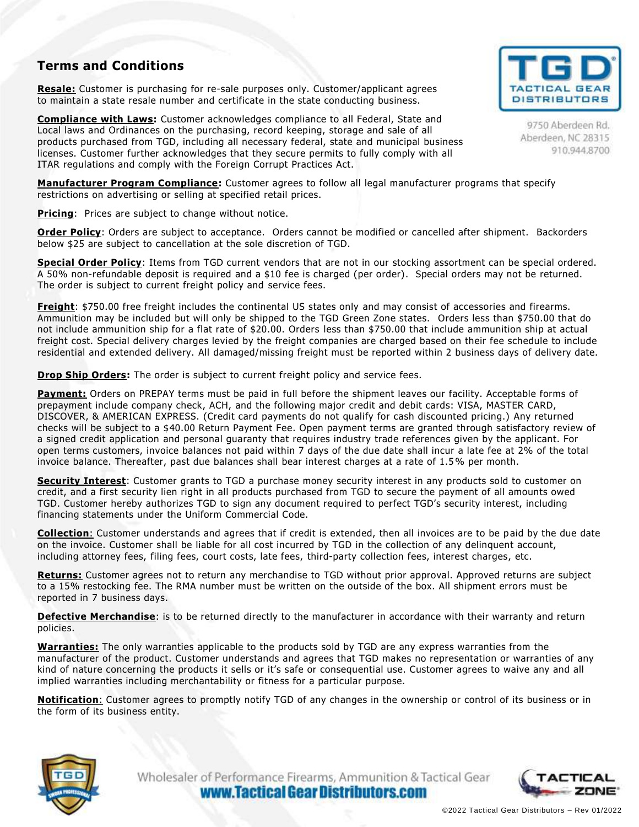## **Terms and Conditions**

**Resale:** Customer is purchasing for re-sale purposes only. Customer/applicant agrees to maintain a state resale number and certificate in the state conducting business.

**Compliance with Laws:** Customer acknowledges compliance to all Federal, State and Local laws and Ordinances on the purchasing, record keeping, storage and sale of all products purchased from TGD, including all necessary federal, state and municipal business licenses. Customer further acknowledges that they secure permits to fully comply with all ITAR regulations and comply with the Foreign Corrupt Practices Act.



**Pricing:** Prices are subject to change without notice.

**Order Policy**: Orders are subject to acceptance. Orders cannot be modified or cancelled after shipment. Backorders below \$25 are subject to cancellation at the sole discretion of TGD.

**Special Order Policy**: Items from TGD current vendors that are not in our stocking assortment can be special ordered. A 50% non-refundable deposit is required and a \$10 fee is charged (per order). Special orders may not be returned. The order is subject to current freight policy and service fees.

**Freight**: \$750.00 free freight includes the continental US states only and may consist of accessories and firearms. Ammunition may be included but will only be shipped to the TGD Green Zone states. Orders less than \$750.00 that do not include ammunition ship for a flat rate of \$20.00. Orders less than \$750.00 that include ammunition ship at actual freight cost. Special delivery charges levied by the freight companies are charged based on their fee schedule to include residential and extended delivery. All damaged/missing freight must be reported within 2 business days of delivery date.

**Drop Ship Orders:** The order is subject to current freight policy and service fees.

**Payment:** Orders on PREPAY terms must be paid in full before the shipment leaves our facility. Acceptable forms of prepayment include company check, ACH, and the following major credit and debit cards: VISA, MASTER CARD, DISCOVER, & AMERICAN EXPRESS. (Credit card payments do not qualify for cash discounted pricing.) Any returned checks will be subject to a \$40.00 Return Payment Fee. Open payment terms are granted through satisfactory review of a signed credit application and personal guaranty that requires industry trade references given by the applicant. For open terms customers, invoice balances not paid within 7 days of the due date shall incur a late fee at 2% of the total invoice balance. Thereafter, past due balances shall bear interest charges at a rate of 1.5 % per month.

**Security Interest**: Customer grants to TGD a purchase money security interest in any products sold to customer on credit, and a first security lien right in all products purchased from TGD to secure the payment of all amounts owed TGD. Customer hereby authorizes TGD to sign any document required to perfect TGD's security interest, including financing statements under the Uniform Commercial Code.

**Collection**: Customer understands and agrees that if credit is extended, then all invoices are to be paid by the due date on the invoice. Customer shall be liable for all cost incurred by TGD in the collection of any delinquent account, including attorney fees, filing fees, court costs, late fees, third-party collection fees, interest charges, etc.

**Returns:** Customer agrees not to return any merchandise to TGD without prior approval. Approved returns are subject to a 15% restocking fee. The RMA number must be written on the outside of the box. All shipment errors must be reported in 7 business days.

**Defective Merchandise**: is to be returned directly to the manufacturer in accordance with their warranty and return policies.

**Warranties:** The only warranties applicable to the products sold by TGD are any express warranties from the manufacturer of the product. Customer understands and agrees that TGD makes no representation or warranties of any kind of nature concerning the products it sells or it's safe or consequential use. Customer agrees to waive any and all implied warranties including merchantability or fitness for a particular purpose.

**Notification**: Customer agrees to promptly notify TGD of any changes in the ownership or control of its business or in the form of its business entity.



Wholesaler of Performance Firearms, Ammunition & Tactical Gear www.Tactical Gear Distributors.com





9750 Aberdeen Rd. Aberdeen, NC 28315 910.944.8700